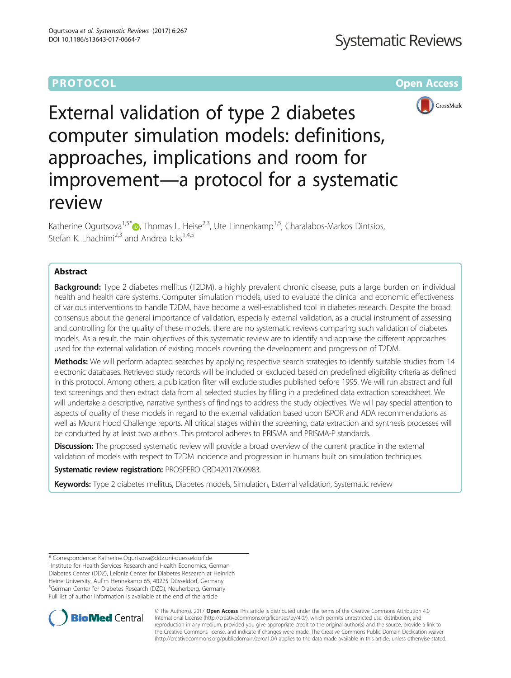# **PROTOCOL CONSUMING THE OPEN ACCESS**

# **Systematic Reviews**



External validation of type 2 diabetes computer simulation models: definitions, approaches, implications and room for improvement—a protocol for a systematic review

Katherine Ogurtsova<sup>1[,](http://orcid.org/0000-0002-3002-1916)5\*</sup> $\odot$ , Thomas L. Heise<sup>2,3</sup>, Ute Linnenkamp<sup>1,5</sup>, Charalabos-Markos Dintsios, Stefan K. Lhachimi<sup>2,3</sup> and Andrea Icks<sup>1,4,5</sup>

# Abstract

Background: Type 2 diabetes mellitus (T2DM), a highly prevalent chronic disease, puts a large burden on individual health and health care systems. Computer simulation models, used to evaluate the clinical and economic effectiveness of various interventions to handle T2DM, have become a well-established tool in diabetes research. Despite the broad consensus about the general importance of validation, especially external validation, as a crucial instrument of assessing and controlling for the quality of these models, there are no systematic reviews comparing such validation of diabetes models. As a result, the main objectives of this systematic review are to identify and appraise the different approaches used for the external validation of existing models covering the development and progression of T2DM.

Methods: We will perform adapted searches by applying respective search strategies to identify suitable studies from 14 electronic databases. Retrieved study records will be included or excluded based on predefined eligibility criteria as defined in this protocol. Among others, a publication filter will exclude studies published before 1995. We will run abstract and full text screenings and then extract data from all selected studies by filling in a predefined data extraction spreadsheet. We will undertake a descriptive, narrative synthesis of findings to address the study objectives. We will pay special attention to aspects of quality of these models in regard to the external validation based upon ISPOR and ADA recommendations as well as Mount Hood Challenge reports. All critical stages within the screening, data extraction and synthesis processes will be conducted by at least two authors. This protocol adheres to PRISMA and PRISMA-P standards.

**Discussion:** The proposed systematic review will provide a broad overview of the current practice in the external validation of models with respect to T2DM incidence and progression in humans built on simulation techniques.

Systematic review registration: PROSPERO [CRD42017069983.](https://www.crd.york.ac.uk/prospero/display_record.php?RecordID=69983)

Keywords: Type 2 diabetes mellitus, Diabetes models, Simulation, External validation, Systematic review

<sup>\*</sup> Correspondence: [Katherine.Ogurtsova@ddz.uni-duesseldorf.de](mailto:Katherine.Ogurtsova@ddz.uni-duesseldorf.de) <sup>1</sup> <sup>1</sup> Institute for Health Services Research and Health Economics, German Diabetes Center (DDZ), Leibniz Center for Diabetes Research at Heinrich Heine University, Auf'm Hennekamp 65, 40225 Düsseldorf, Germany <sup>5</sup>German Center for Diabetes Research (DZD), Neuherberg, Germany Full list of author information is available at the end of the article



© The Author(s). 2017 **Open Access** This article is distributed under the terms of the Creative Commons Attribution 4.0 International License [\(http://creativecommons.org/licenses/by/4.0/](http://creativecommons.org/licenses/by/4.0/)), which permits unrestricted use, distribution, and reproduction in any medium, provided you give appropriate credit to the original author(s) and the source, provide a link to the Creative Commons license, and indicate if changes were made. The Creative Commons Public Domain Dedication waiver [\(http://creativecommons.org/publicdomain/zero/1.0/](http://creativecommons.org/publicdomain/zero/1.0/)) applies to the data made available in this article, unless otherwise stated.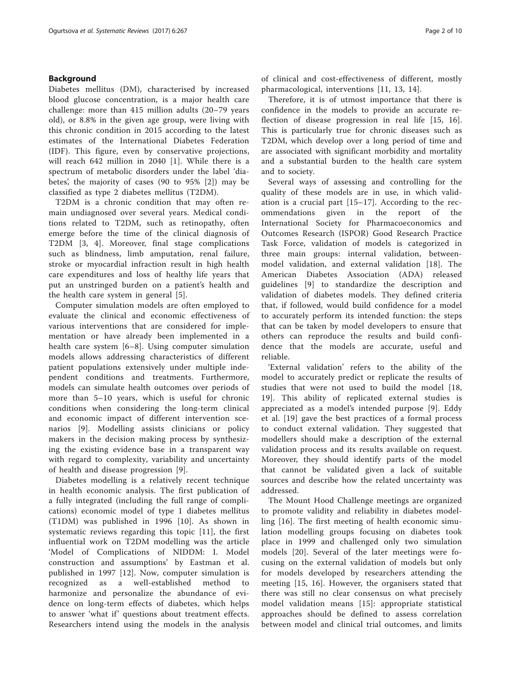# Background

Diabetes mellitus (DM), characterised by increased blood glucose concentration, is a major health care challenge: more than 415 million adults (20–79 years old), or 8.8% in the given age group, were living with this chronic condition in 2015 according to the latest estimates of the International Diabetes Federation (IDF). This figure, even by conservative projections, will reach 642 million in 2040 [[1\]](#page-8-0). While there is a spectrum of metabolic disorders under the label 'diabetes', the majority of cases (90 to 95% [[2\]](#page-8-0)) may be classified as type 2 diabetes mellitus (T2DM).

T2DM is a chronic condition that may often remain undiagnosed over several years. Medical conditions related to T2DM, such as retinopathy, often emerge before the time of the clinical diagnosis of T2DM [\[3, 4](#page-8-0)]. Moreover, final stage complications such as blindness, limb amputation, renal failure, stroke or myocardial infraction result in high health care expenditures and loss of healthy life years that put an unstringed burden on a patient's health and the health care system in general [[5\]](#page-8-0).

Computer simulation models are often employed to evaluate the clinical and economic effectiveness of various interventions that are considered for implementation or have already been implemented in a health care system [[6](#page-8-0)–[8\]](#page-8-0). Using computer simulation models allows addressing characteristics of different patient populations extensively under multiple independent conditions and treatments. Furthermore, models can simulate health outcomes over periods of more than 5–10 years, which is useful for chronic conditions when considering the long-term clinical and economic impact of different intervention scenarios [\[9](#page-8-0)]. Modelling assists clinicians or policy makers in the decision making process by synthesizing the existing evidence base in a transparent way with regard to complexity, variability and uncertainty of health and disease progression [\[9](#page-8-0)].

Diabetes modelling is a relatively recent technique in health economic analysis. The first publication of a fully integrated (including the full range of complications) economic model of type 1 diabetes mellitus (T1DM) was published in 1996 [[10](#page-8-0)]. As shown in systematic reviews regarding this topic [\[11](#page-8-0)], the first influential work on T2DM modelling was the article 'Model of Complications of NIDDM: I. Model construction and assumptions' by Eastman et al. published in 1997 [[12](#page-8-0)]. Now, computer simulation is recognized as a well-established method to harmonize and personalize the abundance of evidence on long-term effects of diabetes, which helps to answer 'what if' questions about treatment effects. Researchers intend using the models in the analysis of clinical and cost-effectiveness of different, mostly pharmacological, interventions [\[11](#page-8-0), [13, 14](#page-8-0)].

Therefore, it is of utmost importance that there is confidence in the models to provide an accurate re-flection of disease progression in real life [[15, 16](#page-8-0)]. This is particularly true for chronic diseases such as T2DM, which develop over a long period of time and are associated with significant morbidity and mortality and a substantial burden to the health care system and to society.

Several ways of assessing and controlling for the quality of these models are in use, in which validation is a crucial part [\[15](#page-8-0)–[17\]](#page-8-0). According to the recommendations given in the report of the International Society for Pharmacoeconomics and Outcomes Research (ISPOR) Good Research Practice Task Force, validation of models is categorized in three main groups: internal validation, betweenmodel validation, and external validation [[18](#page-9-0)]. The American Diabetes Association (ADA) released guidelines [\[9](#page-8-0)] to standardize the description and validation of diabetes models. They defined criteria that, if followed, would build confidence for a model to accurately perform its intended function: the steps that can be taken by model developers to ensure that others can reproduce the results and build confidence that the models are accurate, useful and reliable.

'External validation' refers to the ability of the model to accurately predict or replicate the results of studies that were not used to build the model [\[18](#page-9-0), [19\]](#page-9-0). This ability of replicated external studies is appreciated as a model's intended purpose [\[9](#page-8-0)]. Eddy et al. [[19\]](#page-9-0) gave the best practices of a formal process to conduct external validation. They suggested that modellers should make a description of the external validation process and its results available on request. Moreover, they should identify parts of the model that cannot be validated given a lack of suitable sources and describe how the related uncertainty was addressed.

The Mount Hood Challenge meetings are organized to promote validity and reliability in diabetes modelling [[16](#page-8-0)]. The first meeting of health economic simulation modelling groups focusing on diabetes took place in 1999 and challenged only two simulation models [[20\]](#page-9-0). Several of the later meetings were focusing on the external validation of models but only for models developed by researchers attending the meeting [\[15, 16](#page-8-0)]. However, the organisers stated that there was still no clear consensus on what precisely model validation means [[15\]](#page-8-0): appropriate statistical approaches should be defined to assess correlation between model and clinical trial outcomes, and limits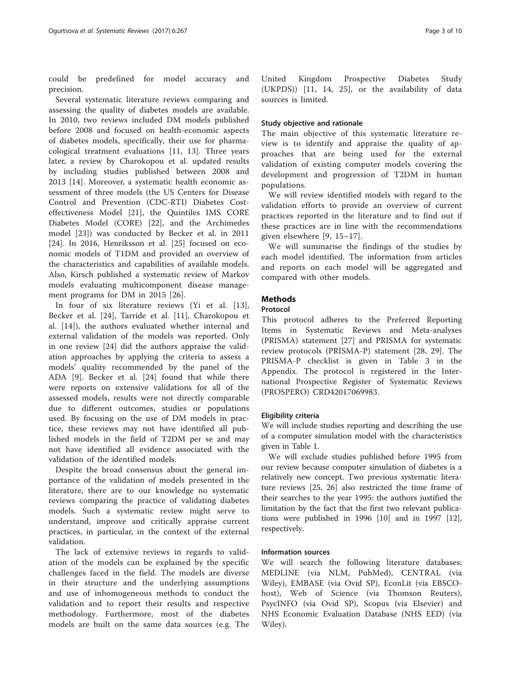<span id="page-2-0"></span>could be predefined for model accuracy and precision.

Several systematic literature reviews comparing and assessing the quality of diabetes models are available. In 2010, two reviews included DM models published before 2008 and focused on health-economic aspects of diabetes models, specifically, their use for pharmacological treatment evaluations [[11, 13](#page-8-0)]. Three years later, a review by Charokopou et al. updated results by including studies published between 2008 and 2013 [[14\]](#page-8-0). Moreover, a systematic health economic assessment of three models (the US Centers for Disease Control and Prevention (CDC-RTI) Diabetes Costeffectiveness Model [[21\]](#page-9-0), the Quintiles IMS CORE Diabetes Model (CORE) [[22\]](#page-9-0), and the Archimedes model [[23\]](#page-9-0)) was conducted by Becker et al. in 2011 [[24\]](#page-9-0). In 2016, Henriksson et al. [[25\]](#page-9-0) focused on economic models of T1DM and provided an overview of the characteristics and capabilities of available models. Also, Kirsch published a systematic review of Markov models evaluating multicomponent disease management programs for DM in 2015 [[26\]](#page-9-0).

In four of six literature reviews (Yi et al. [\[13](#page-8-0)], Becker et al. [\[24](#page-9-0)], Tarride et al. [[11\]](#page-8-0), Charokopou et al. [[14\]](#page-8-0)), the authors evaluated whether internal and external validation of the models was reported. Only in one review [\[24](#page-9-0)] did the authors appraise the validation approaches by applying the criteria to assess a models' quality recommended by the panel of the ADA [[9](#page-8-0)]. Becker et al. [[24\]](#page-9-0) found that while there were reports on extensive validations for all of the assessed models, results were not directly comparable due to different outcomes, studies or populations used. By focusing on the use of DM models in practice, these reviews may not have identified all published models in the field of T2DM per se and may not have identified all evidence associated with the validation of the identified models.

Despite the broad consensus about the general importance of the validation of models presented in the literature, there are to our knowledge no systematic reviews comparing the practice of validating diabetes models. Such a systematic review might serve to understand, improve and critically appraise current practices, in particular, in the context of the external validation.

The lack of extensive reviews in regards to validation of the models can be explained by the specific challenges faced in the field. The models are diverse in their structure and the underlying assumptions and use of inhomogeneous methods to conduct the validation and to report their results and respective methodology. Furthermore, most of the diabetes models are built on the same data sources (e.g. The

United Kingdom Prospective Diabetes Study (UKPDS)) [[11](#page-8-0), [14](#page-8-0), [25\]](#page-9-0), or the availability of data sources is limited.

# Study objective and rationale

The main objective of this systematic literature review is to identify and appraise the quality of approaches that are being used for the external validation of existing computer models covering the development and progression of T2DM in human populations.

We will review identified models with regard to the validation efforts to provide an overview of current practices reported in the literature and to find out if these practices are in line with the recommendations given elsewhere [\[9](#page-8-0), [15](#page-8-0)–[17\]](#page-8-0).

We will summarise the findings of the studies by each model identified. The information from articles and reports on each model will be aggregated and compared with other models.

# Methods

### Protocol

This protocol adheres to the Preferred Reporting Items in Systematic Reviews and Meta-analyses (PRISMA) statement [[27\]](#page-9-0) and PRISMA for systematic review protocols (PRISMA-P) statement [\[28](#page-9-0), [29](#page-9-0)]. The PRISMA-P checklist is given in Table 3 in the [Appendix](#page-6-0). The protocol is registered in the International Prospective Register of Systematic Reviews (PROSPERO) CRD42017069983.

### Eligibility criteria

We will include studies reporting and describing the use of a computer simulation model with the characteristics given in Table [1](#page-3-0).

We will exclude studies published before 1995 from our review because computer simulation of diabetes is a relatively new concept. Two previous systematic literature reviews [\[25, 26\]](#page-9-0) also restricted the time frame of their searches to the year 1995: the authors justified the limitation by the fact that the first two relevant publications were published in 1996 [\[10](#page-8-0)] and in 1997 [\[12](#page-8-0)], respectively.

## Information sources

We will search the following literature databases: MEDLINE (via NLM, PubMed), CENTRAL (via Wiley), EMBASE (via Ovid SP), EconLit (via EBSCOhost), Web of Science (via Thomson Reuters), PsycINFO (via Ovid SP), Scopus (via Elsevier) and NHS Economic Evaluation Database (NHS EED) (via Wiley).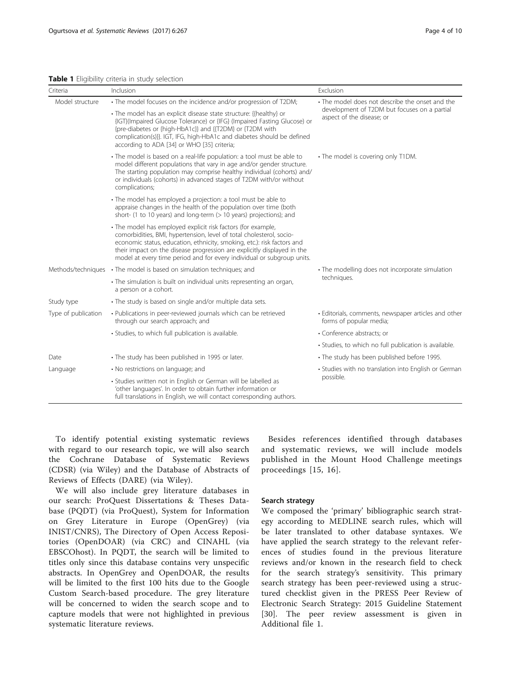<span id="page-3-0"></span>Table 1 Eligibility criteria in study selection

| Criteria            | Inclusion                                                                                                                                                                                                                                                                                                                                                            | <b>Fxclusion</b>                                                                                                             |  |
|---------------------|----------------------------------------------------------------------------------------------------------------------------------------------------------------------------------------------------------------------------------------------------------------------------------------------------------------------------------------------------------------------|------------------------------------------------------------------------------------------------------------------------------|--|
| Model structure     | • The model focuses on the incidence and/or progression of T2DM;                                                                                                                                                                                                                                                                                                     | • The model does not describe the onset and the<br>development of T2DM but focuses on a partial<br>aspect of the disease; or |  |
|                     | • The model has an explicit disease state structure: {{healthy} or<br>{IGT}(Impaired Glucose Tolerance) or {IFG} (Impaired Fasting Glucose) or<br>{pre-diabetes or {high-HbA1c}} and {{T2DM} or {T2DM with<br>complication(s)}}. IGT, IFG, high-HbA1c and diabetes should be defined<br>according to ADA [34] or WHO [35] criteria;                                  |                                                                                                                              |  |
|                     | • The model is based on a real-life population: a tool must be able to<br>model different populations that vary in age and/or gender structure.<br>The starting population may comprise healthy individual (cohorts) and/<br>or individuals (cohorts) in advanced stages of T2DM with/or without<br>complications;                                                   | • The model is covering only T1DM.                                                                                           |  |
|                     | · The model has employed a projection: a tool must be able to<br>appraise changes in the health of the population over time (both<br>short- (1 to 10 years) and long-term (> 10 years) projections); and                                                                                                                                                             |                                                                                                                              |  |
|                     | · The model has employed explicit risk factors (for example,<br>comorbidities, BMI, hypertension, level of total cholesterol, socio-<br>economic status, education, ethnicity, smoking, etc.): risk factors and<br>their impact on the disease progression are explicitly displayed in the<br>model at every time period and for every individual or subgroup units. |                                                                                                                              |  |
|                     | Methods/techniques • The model is based on simulation techniques; and                                                                                                                                                                                                                                                                                                | • The modelling does not incorporate simulation                                                                              |  |
|                     | • The simulation is built on individual units representing an organ,<br>a person or a cohort.                                                                                                                                                                                                                                                                        | techniques.                                                                                                                  |  |
| Study type          | • The study is based on single and/or multiple data sets.                                                                                                                                                                                                                                                                                                            |                                                                                                                              |  |
| Type of publication | · Publications in peer-reviewed journals which can be retrieved<br>through our search approach; and                                                                                                                                                                                                                                                                  | • Editorials, comments, newspaper articles and other<br>forms of popular media;                                              |  |
|                     | · Studies, to which full publication is available.                                                                                                                                                                                                                                                                                                                   | • Conference abstracts; or                                                                                                   |  |
|                     |                                                                                                                                                                                                                                                                                                                                                                      | • Studies, to which no full publication is available.                                                                        |  |
| Date                | · The study has been published in 1995 or later.                                                                                                                                                                                                                                                                                                                     | • The study has been published before 1995.                                                                                  |  |
| Language            | • No restrictions on language; and                                                                                                                                                                                                                                                                                                                                   | • Studies with no translation into English or German<br>possible.                                                            |  |
|                     | • Studies written not in English or German will be labelled as<br>'other languages'. In order to obtain further information or<br>full translations in English, we will contact corresponding authors.                                                                                                                                                               |                                                                                                                              |  |

To identify potential existing systematic reviews with regard to our research topic, we will also search the Cochrane Database of Systematic Reviews (CDSR) (via Wiley) and the Database of Abstracts of Reviews of Effects (DARE) (via Wiley).

We will also include grey literature databases in our search: ProQuest Dissertations & Theses Database (PQDT) (via ProQuest), System for Information on Grey Literature in Europe (OpenGrey) (via INIST/CNRS), The Directory of Open Access Repositories (OpenDOAR) (via CRC) and CINAHL (via EBSCOhost). In PQDT, the search will be limited to titles only since this database contains very unspecific abstracts. In OpenGrey and OpenDOAR, the results will be limited to the first 100 hits due to the Google Custom Search-based procedure. The grey literature will be concerned to widen the search scope and to capture models that were not highlighted in previous systematic literature reviews.

Besides references identified through databases and systematic reviews, we will include models published in the Mount Hood Challenge meetings proceedings [[15, 16\]](#page-8-0).

### Search strategy

We composed the 'primary' bibliographic search strategy according to MEDLINE search rules, which will be later translated to other database syntaxes. We have applied the search strategy to the relevant references of studies found in the previous literature reviews and/or known in the research field to check for the search strategy's sensitivity. This primary search strategy has been peer-reviewed using a structured checklist given in the PRESS Peer Review of Electronic Search Strategy: 2015 Guideline Statement [[30\]](#page-9-0). The peer review assessment is given in Additional file [1](#page-7-0).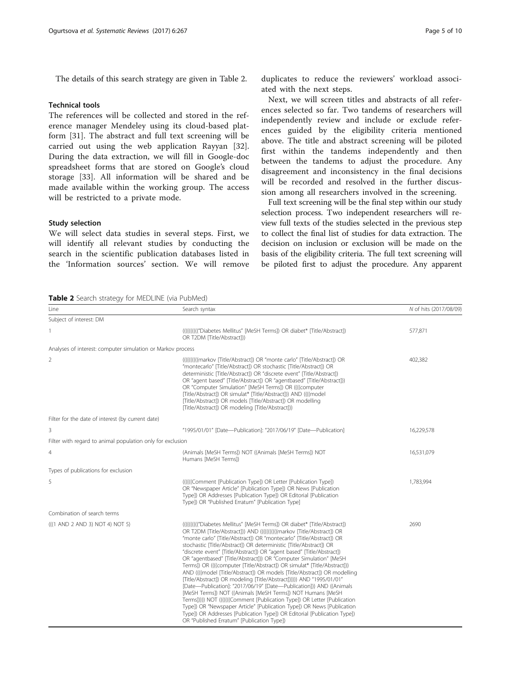<span id="page-4-0"></span>The details of this search strategy are given in Table 2.

# Technical tools

The references will be collected and stored in the reference manager Mendeley using its cloud-based platform [\[31](#page-9-0)]. The abstract and full text screening will be carried out using the web application Rayyan [\[32](#page-9-0)]. During the data extraction, we will fill in Google-doc spreadsheet forms that are stored on Google's cloud storage [[33\]](#page-9-0). All information will be shared and be made available within the working group. The access will be restricted to a private mode.

# Study selection

We will select data studies in several steps. First, we will identify all relevant studies by conducting the search in the scientific publication databases listed in the '[Information sources](#page-2-0)' section. We will remove

duplicates to reduce the reviewers' workload associated with the next steps.

Next, we will screen titles and abstracts of all references selected so far. Two tandems of researchers will independently review and include or exclude references guided by the eligibility criteria mentioned above. The title and abstract screening will be piloted first within the tandems independently and then between the tandems to adjust the procedure. Any disagreement and inconsistency in the final decisions will be recorded and resolved in the further discussion among all researchers involved in the screening.

Full text screening will be the final step within our study selection process. Two independent researchers will review full texts of the studies selected in the previous step to collect the final list of studies for data extraction. The decision on inclusion or exclusion will be made on the basis of the eligibility criteria. The full text screening will be piloted first to adjust the procedure. Any apparent

# Table 2 Search strategy for MEDLINE (via PubMed)

| Line                                                        | Search syntax                                                                                                                                                                                                                                                                                                                                                                                                                                                                                                                                                                                                                                                                                                                                                                                                                                                                                                                                                                                                                                                                                    | N of hits (2017/08/09) |
|-------------------------------------------------------------|--------------------------------------------------------------------------------------------------------------------------------------------------------------------------------------------------------------------------------------------------------------------------------------------------------------------------------------------------------------------------------------------------------------------------------------------------------------------------------------------------------------------------------------------------------------------------------------------------------------------------------------------------------------------------------------------------------------------------------------------------------------------------------------------------------------------------------------------------------------------------------------------------------------------------------------------------------------------------------------------------------------------------------------------------------------------------------------------------|------------------------|
| Subject of interest: DM                                     |                                                                                                                                                                                                                                                                                                                                                                                                                                                                                                                                                                                                                                                                                                                                                                                                                                                                                                                                                                                                                                                                                                  |                        |
| 1                                                           | ((((((((("Diabetes Mellitus" [MeSH Terms]) OR diabet* [Title/Abstract])<br>OR T2DM [Title/Abstract]))                                                                                                                                                                                                                                                                                                                                                                                                                                                                                                                                                                                                                                                                                                                                                                                                                                                                                                                                                                                            | 577,871                |
| Analyses of interest: computer simulation or Markov process |                                                                                                                                                                                                                                                                                                                                                                                                                                                                                                                                                                                                                                                                                                                                                                                                                                                                                                                                                                                                                                                                                                  |                        |
| $\overline{2}$                                              | (((((((((((markov [Title/Abstract]) OR "monte carlo" [Title/Abstract]) OR<br>"montecarlo" [Title/Abstract]) OR stochastic [Title/Abstract]) OR<br>deterministic [Title/Abstract]) OR "discrete event" [Title/Abstract])<br>OR "agent based" [Title/Abstract]) OR "agentbased" [Title/Abstract]))<br>OR "Computer Simulation" [MeSH Terms]) OR ((((computer<br>[Title/Abstract]) OR simulat* [Title/Abstract])) AND ((((model<br>[Title/Abstract]) OR models [Title/Abstract]) OR modelling<br>[Title/Abstract]) OR modeling [Title/Abstract]))                                                                                                                                                                                                                                                                                                                                                                                                                                                                                                                                                   | 402,382                |
| Filter for the date of interest (by current date)           |                                                                                                                                                                                                                                                                                                                                                                                                                                                                                                                                                                                                                                                                                                                                                                                                                                                                                                                                                                                                                                                                                                  |                        |
| 3                                                           | "1995/01/01" [Date--Publication]: "2017/06/19" [Date--Publication]                                                                                                                                                                                                                                                                                                                                                                                                                                                                                                                                                                                                                                                                                                                                                                                                                                                                                                                                                                                                                               | 16,229,578             |
| Filter with regard to animal population only for exclusion  |                                                                                                                                                                                                                                                                                                                                                                                                                                                                                                                                                                                                                                                                                                                                                                                                                                                                                                                                                                                                                                                                                                  |                        |
| 4                                                           | (Animals [MeSH Terms]) NOT ((Animals [MeSH Terms]) NOT<br>Humans [MeSH Terms])                                                                                                                                                                                                                                                                                                                                                                                                                                                                                                                                                                                                                                                                                                                                                                                                                                                                                                                                                                                                                   | 16,531,079             |
| Types of publications for exclusion                         |                                                                                                                                                                                                                                                                                                                                                                                                                                                                                                                                                                                                                                                                                                                                                                                                                                                                                                                                                                                                                                                                                                  |                        |
| 5                                                           | (((((Comment [Publication Type]) OR Letter [Publication Type])<br>OR "Newspaper Article" [Publication Type]) OR News [Publication<br>Type]) OR Addresses [Publication Type]) OR Editorial [Publication<br>Type]) OR "Published Erratum" [Publication Type]                                                                                                                                                                                                                                                                                                                                                                                                                                                                                                                                                                                                                                                                                                                                                                                                                                       | 1,783,994              |
| Combination of search terms                                 |                                                                                                                                                                                                                                                                                                                                                                                                                                                                                                                                                                                                                                                                                                                                                                                                                                                                                                                                                                                                                                                                                                  |                        |
| (((1 AND 2 AND 3) NOT 4) NOT 5)                             | ((((((((("Diabetes Mellitus" [MeSH Terms]) OR diabet* [Title/Abstract])<br>OR T2DM [Title/Abstract])) AND (((((((((((markov [Title/Abstract]) OR<br>"monte carlo" [Title/Abstract]) OR "montecarlo" [Title/Abstract]) OR<br>stochastic [Title/Abstract]) OR deterministic [Title/Abstract]) OR<br>"discrete event" [Title/Abstract]) OR "agent based" [Title/Abstract])<br>OR "agentbased" [Title/Abstract])) OR "Computer Simulation" [MeSH<br>Terms]) OR ((((computer [Title/Abstract]) OR simulat* [Title/Abstract]))<br>AND ((((model [Title/Abstract]) OR models [Title/Abstract]) OR modelling<br>[Title/Abstract]) OR modeling [Title/Abstract])))) AND "1995/01/01"<br>[Date-Publication]: "2017/06/19" [Date-Publication])) AND ((Animals<br>[MeSH Terms]) NOT ((Animals [MeSH Terms]) NOT Humans [MeSH<br>Terms])))) NOT (((((((Comment [Publication Type]) OR Letter [Publication<br>Type]) OR "Newspaper Article" [Publication Type]) OR News [Publication<br>Type]) OR Addresses [Publication Type]) OR Editorial [Publication Type])<br>OR "Published Erratum" [Publication Type]) | 2690                   |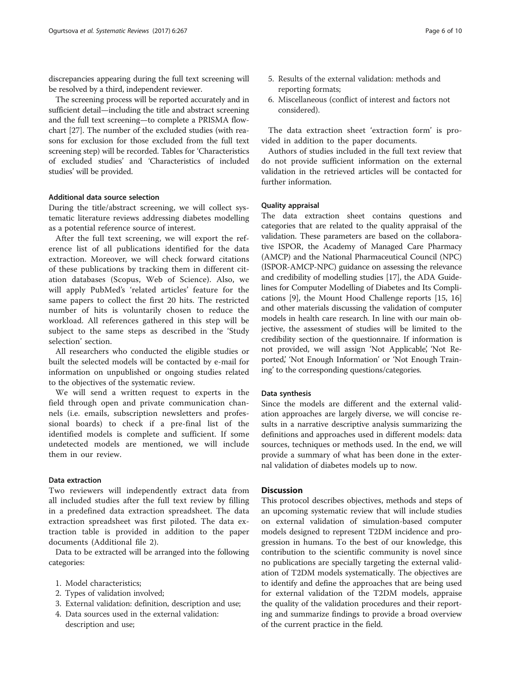discrepancies appearing during the full text screening will be resolved by a third, independent reviewer.

The screening process will be reported accurately and in sufficient detail—including the title and abstract screening and the full text screening—to complete a PRISMA flowchart [\[27](#page-9-0)]. The number of the excluded studies (with reasons for exclusion for those excluded from the full text screening step) will be recorded. Tables for 'Characteristics of excluded studies' and 'Characteristics of included studies' will be provided.

# Additional data source selection

During the title/abstract screening, we will collect systematic literature reviews addressing diabetes modelling as a potential reference source of interest.

After the full text screening, we will export the reference list of all publications identified for the data extraction. Moreover, we will check forward citations of these publications by tracking them in different citation databases (Scopus, Web of Science). Also, we will apply PubMed's 'related articles' feature for the same papers to collect the first 20 hits. The restricted number of hits is voluntarily chosen to reduce the workload. All references gathered in this step will be subject to the same steps as described in the '[Study](#page-4-0) [selection](#page-4-0)' section.

All researchers who conducted the eligible studies or built the selected models will be contacted by e-mail for information on unpublished or ongoing studies related to the objectives of the systematic review.

We will send a written request to experts in the field through open and private communication channels (i.e. emails, subscription newsletters and professional boards) to check if a pre-final list of the identified models is complete and sufficient. If some undetected models are mentioned, we will include them in our review.

# Data extraction

Two reviewers will independently extract data from all included studies after the full text review by filling in a predefined data extraction spreadsheet. The data extraction spreadsheet was first piloted. The data extraction table is provided in addition to the paper documents (Additional file [2](#page-7-0)).

Data to be extracted will be arranged into the following categories:

- 1. Model characteristics;
- 2. Types of validation involved;
- 3. External validation: definition, description and use;
- 4. Data sources used in the external validation: description and use;
- 5. Results of the external validation: methods and reporting formats;
- 6. Miscellaneous (conflict of interest and factors not considered).

The data extraction sheet 'extraction form' is provided in addition to the paper documents.

Authors of studies included in the full text review that do not provide sufficient information on the external validation in the retrieved articles will be contacted for further information.

# Quality appraisal

The data extraction sheet contains questions and categories that are related to the quality appraisal of the validation. These parameters are based on the collaborative ISPOR, the Academy of Managed Care Pharmacy (AMCP) and the National Pharmaceutical Council (NPC) (ISPOR-AMCP-NPC) guidance on assessing the relevance and credibility of modelling studies [\[17\]](#page-8-0), the ADA Guidelines for Computer Modelling of Diabetes and Its Complications [\[9](#page-8-0)], the Mount Hood Challenge reports [[15](#page-8-0), [16](#page-8-0)] and other materials discussing the validation of computer models in health care research. In line with our main objective, the assessment of studies will be limited to the credibility section of the questionnaire. If information is not provided, we will assign 'Not Applicable', 'Not Reported,' 'Not Enough Information' or 'Not Enough Training' to the corresponding questions/categories.

# Data synthesis

Since the models are different and the external validation approaches are largely diverse, we will concise results in a narrative descriptive analysis summarizing the definitions and approaches used in different models: data sources, techniques or methods used. In the end, we will provide a summary of what has been done in the external validation of diabetes models up to now.

# **Discussion**

This protocol describes objectives, methods and steps of an upcoming systematic review that will include studies on external validation of simulation-based computer models designed to represent T2DM incidence and progression in humans. To the best of our knowledge, this contribution to the scientific community is novel since no publications are specially targeting the external validation of T2DM models systematically. The objectives are to identify and define the approaches that are being used for external validation of the T2DM models, appraise the quality of the validation procedures and their reporting and summarize findings to provide a broad overview of the current practice in the field.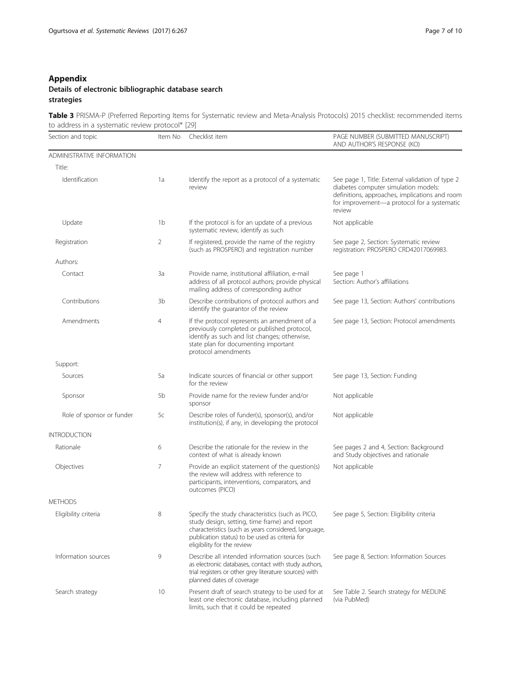# <span id="page-6-0"></span>Appendix Details of electronic bibliographic database search strategies

Table 3 PRISMA-P (Preferred Reporting Items for Systematic review and Meta-Analysis Protocols) 2015 checklist: recommended items to address in a systematic review protocol\* [\[29\]](#page-9-0)

| Section and topic          | Item No | Checklist item                                                                                                                                                                                                                            | PAGE NUMBER (SUBMITTED MANUSCRIPT)<br>AND AUTHOR'S RESPONSE (KO)                                                                                                                                    |
|----------------------------|---------|-------------------------------------------------------------------------------------------------------------------------------------------------------------------------------------------------------------------------------------------|-----------------------------------------------------------------------------------------------------------------------------------------------------------------------------------------------------|
| ADMINISTRATIVE INFORMATION |         |                                                                                                                                                                                                                                           |                                                                                                                                                                                                     |
| Title:                     |         |                                                                                                                                                                                                                                           |                                                                                                                                                                                                     |
| Identification             | 1a      | Identify the report as a protocol of a systematic<br>review                                                                                                                                                                               | See page 1, Title: External validation of type 2<br>diabetes computer simulation models:<br>definitions, approaches, implications and room<br>for improvement-a protocol for a systematic<br>review |
| Update                     | 1b      | If the protocol is for an update of a previous<br>systematic review, identify as such                                                                                                                                                     | Not applicable                                                                                                                                                                                      |
| Registration               | 2       | If registered, provide the name of the registry<br>(such as PROSPERO) and registration number                                                                                                                                             | See page 2, Section: Systematic review<br>registration: PROSPERO CRD42017069983.                                                                                                                    |
| Authors:                   |         |                                                                                                                                                                                                                                           |                                                                                                                                                                                                     |
| Contact                    | 3a      | Provide name, institutional affiliation, e-mail<br>address of all protocol authors; provide physical<br>mailing address of corresponding author                                                                                           | See page 1<br>Section: Author's affiliations                                                                                                                                                        |
| Contributions              | 3b      | Describe contributions of protocol authors and<br>identify the quarantor of the review                                                                                                                                                    | See page 13, Section: Authors' contributions                                                                                                                                                        |
| Amendments                 | 4       | If the protocol represents an amendment of a<br>previously completed or published protocol,<br>identify as such and list changes; otherwise,<br>state plan for documenting important<br>protocol amendments                               | See page 13, Section: Protocol amendments                                                                                                                                                           |
| Support:                   |         |                                                                                                                                                                                                                                           |                                                                                                                                                                                                     |
| Sources                    | 5a      | Indicate sources of financial or other support<br>for the review                                                                                                                                                                          | See page 13, Section: Funding                                                                                                                                                                       |
| Sponsor                    | 5b      | Provide name for the review funder and/or<br>sponsor                                                                                                                                                                                      | Not applicable                                                                                                                                                                                      |
| Role of sponsor or funder  | 5c      | Describe roles of funder(s), sponsor(s), and/or<br>institution(s), if any, in developing the protocol                                                                                                                                     | Not applicable                                                                                                                                                                                      |
| <b>INTRODUCTION</b>        |         |                                                                                                                                                                                                                                           |                                                                                                                                                                                                     |
| Rationale                  | 6       | Describe the rationale for the review in the<br>context of what is already known                                                                                                                                                          | See pages 2 and 4, Section: Background<br>and Study objectives and rationale                                                                                                                        |
| Objectives                 | 7       | Provide an explicit statement of the question(s)<br>the review will address with reference to<br>participants, interventions, comparators, and<br>outcomes (PICO)                                                                         | Not applicable                                                                                                                                                                                      |
| <b>METHODS</b>             |         |                                                                                                                                                                                                                                           |                                                                                                                                                                                                     |
| Eligibility criteria       | 8       | Specify the study characteristics (such as PICO,<br>study design, setting, time frame) and report<br>characteristics (such as years considered, language,<br>publication status) to be used as criteria for<br>eligibility for the review | See page 5, Section: Eligibility criteria                                                                                                                                                           |
| Information sources        | 9       | Describe all intended information sources (such<br>as electronic databases, contact with study authors,<br>trial registers or other grey literature sources) with<br>planned dates of coverage                                            | See page 8, Section: Information Sources                                                                                                                                                            |
| Search strategy            | 10      | Present draft of search strategy to be used for at<br>least one electronic database, including planned<br>limits, such that it could be repeated                                                                                          | See Table 2. Search strategy for MEDLINE<br>(via PubMed)                                                                                                                                            |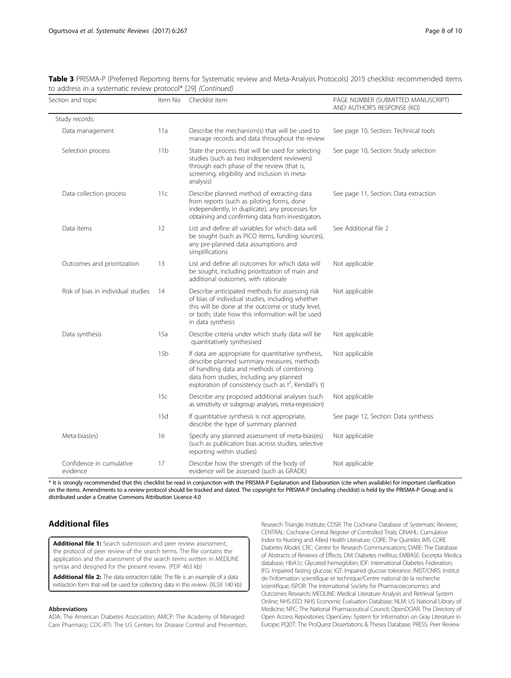| Section and topic                    | Item No         | Checklist item                                                                                                                                                                                                                                               | PAGE NUMBER (SUBMITTED MANUSCRIPT)<br>AND AUTHOR'S RESPONSE (KO) |
|--------------------------------------|-----------------|--------------------------------------------------------------------------------------------------------------------------------------------------------------------------------------------------------------------------------------------------------------|------------------------------------------------------------------|
| Study records:                       |                 |                                                                                                                                                                                                                                                              |                                                                  |
| Data management                      | 11a             | Describe the mechanism(s) that will be used to<br>manage records and data throughout the review                                                                                                                                                              | See page 10, Section: Technical tools                            |
| Selection process                    | 11 <sub>b</sub> | State the process that will be used for selecting<br>studies (such as two independent reviewers)<br>through each phase of the review (that is,<br>screening, eligibility and inclusion in meta-<br>analysis)                                                 | See page 10, Section: Study selection                            |
| Data collection process              | 11c             | Describe planned method of extracting data<br>from reports (such as piloting forms, done<br>independently, in duplicate), any processes for<br>obtaining and confirming data from investigators                                                              | See page 11, Section: Data extraction                            |
| Data items                           | 12              | List and define all variables for which data will<br>be sought (such as PICO items, funding sources),<br>any pre-planned data assumptions and<br>simplifications                                                                                             | See Additional file 2                                            |
| Outcomes and prioritization          | 13              | List and define all outcomes for which data will<br>be sought, including prioritization of main and<br>additional outcomes, with rationale                                                                                                                   | Not applicable                                                   |
| Risk of bias in individual studies   | 14              | Describe anticipated methods for assessing risk<br>of bias of individual studies, including whether<br>this will be done at the outcome or study level,<br>or both; state how this information will be used<br>in data synthesis                             | Not applicable                                                   |
| Data synthesis                       | 15a             | Describe criteria under which study data will be<br>quantitatively synthesised                                                                                                                                                                               | Not applicable                                                   |
|                                      | 15 <sub>b</sub> | If data are appropriate for quantitative synthesis,<br>describe planned summary measures, methods<br>of handling data and methods of combining<br>data from studies, including any planned<br>exploration of consistency (such as $I^2$ , Kendall's $\tau$ ) | Not applicable                                                   |
|                                      | 15c             | Describe any proposed additional analyses (such<br>as sensitivity or subgroup analyses, meta-regression)                                                                                                                                                     | Not applicable                                                   |
|                                      | 15d             | If quantitative synthesis is not appropriate,<br>describe the type of summary planned                                                                                                                                                                        | See page 12, Section: Data synthesis                             |
| Meta-bias(es)                        | 16              | Specify any planned assessment of meta-bias(es)<br>(such as publication bias across studies, selective<br>reporting within studies)                                                                                                                          | Not applicable                                                   |
| Confidence in cumulative<br>evidence | 17              | Describe how the strength of the body of<br>evidence will be assessed (such as GRADE)                                                                                                                                                                        | Not applicable                                                   |

<span id="page-7-0"></span>Table 3 PRISMA-P (Preferred Reporting Items for Systematic review and Meta-Analysis Protocols) 2015 checklist: recommended items to address in a systematic review protocol\* [\[29\]](#page-8-0) (Continued)

 $\frac{1}{3}$  It is strongly recommended that this checklist be read in conjunction with the PRISMA-P Explanation and Elaboration (cite when available) for important clarification on the items. Amendments to a review protocol should be tracked and dated. The copyright for PRISMA-P (including checklist) is held by the PRISMA-P Group and is distributed under a Creative Commons Attribution Licence 4.0

# Additional files

[Additional file 1:](dx.doi.org/10.1186/s13643-017-0664-7) Search submission and peer review assessment, the protocol of peer review of the search terms. The file contains the application and the assessment of the search terms written in MEDLINE syntax and designed for the present review. (PDF 463 kb)

[Additional file 2:](dx.doi.org/10.1186/s13643-017-0664-7) The data extraction table. The file is an example of a data extraction form that will be used for collecting data in this review. (XLSX 140 kb)

### Abbreviations

ADA: The American Diabetes Association; AMCP: The Academy of Managed Care Pharmacy; CDC-RTI: The US Centers for Disease Control and Prevention, Research Triangle Institute; CDSR: The Cochrane Database of Systematic Reviews; CENTRAL: Cochrane Central Register of Controlled Trials; CINAHL: Cumulative Index to Nursing and Allied Health Literature; CORE: The Quintiles IMS CORE Diabetes Model; CRC: Centre for Research Communications; DARE: The Database of Abstracts of Reviews of Effects; DM: Diabetes mellitus; EMBASE: Excerpta Medica database; HbA1c: Glycated hemoglobin; IDF: International Diabetes Federation; IFG: Impaired fasting glucose; IGT: Impaired glucose tolerance; INIST/CNRS: Institut de l'information scientifique et technique/Centre national de la recherche scientifique; ISPOR: The International Society for Pharmacoeconomics and Outcomes Research; MEDLINE: Medical Literature Analysis and Retrieval System Online; NHS EED: NHS Economic Evaluation Database; NLM: US National Library of Medicine; NPC: The National Pharmaceutical Council; OpenDOAR: The Directory of Open Access Repositories; OpenGrey: System for Information on Gray Literature in Europe; PQDT: The ProQuest Dissertations & Theses Database; PRESS: Peer Review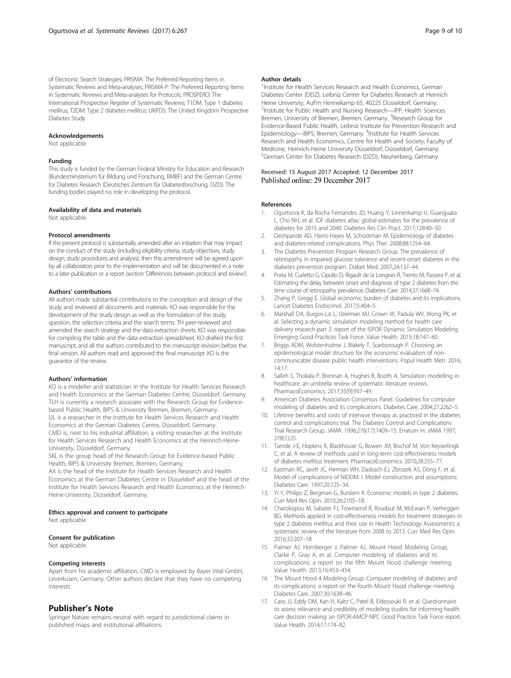<span id="page-8-0"></span>of Electronic Search Strategies; PRISMA: The Preferred Reporting Items in Systematic Reviews and Meta-analyses; PRISMA-P: The Preferred Reporting Items in Systematic Reviews and Meta-analyses for Protocols; PROSPERO: The International Prospective Register of Systematic Reviews; T1DM: Type 1 diabetes mellitus; T2DM: Type 2 diabetes mellitus; UKPDS: The United Kingdom Prospective Diabetes Study

### Acknowledgements

Not applicable.

### Funding

This study is funded by the German Federal Ministry for Education and Research (Bundesministerium für Bildung und Forschung, BMBF) and the German Centre for Diabetes Research (Deutsches Zentrum für Diabetesforschung, DZD). The funding bodies played no role in developing the protocol.

### Availability of data and materials

Not applicable.

#### Protocol amendments

If the present protocol is substantially amended after an initiation that may impact on the conduct of the study (including eligibility criteria, study objectives, study design, study procedures and analysis), then this amendment will be agreed upon by all collaborators prior to the implementation and will be documented in a note to a later publication or a report (section 'Differences between protocol and review').

### Authors' contributions

All authors made substantial contributions to the conception and design of the study and reviewed all documents and materials. KO was responsible for the development of the study design as well as the formulation of the study question, the selection criteria and the search terms. TH peer-reviewed and amended the search strategy and the data extraction sheets. KO was responsible for compiling the table and the data extraction spreadsheet. KO drafted the first manuscript, and all the authors contributed to the manuscript revision before the final version. All authors read and approved the final manuscript. KO is the guarantor of the review.

### Authors' information

KO is a modeller and statistician in the Institute for Health Services Research and Health Economics at the German Diabetes Centre, Düsseldorf, Germany. TLH is currently a research associate with the Research Group for Evidencebased Public Health, BIPS & University Bremen, Bremen, Germany. UL is a researcher in the Institute for Health Services Research and Health Economics at the German Diabetes Centre, Düsseldorf, Germany. CMD is, next to his industrial affiliation, a visiting researcher at the Institute for Health Services Research and Health Economics at the Heinrich-Heine-University, Düsseldorf, Germany.

SKL is the group head of the Research Group for Evidence-based Public Health, BIPS & University Bremen, Bremen, Germany.

AX is the head of the Institute for Health Services Research and Health Economics at the German Diabetes Centre in Düsseldorf and the head of the Institute for Health Services Research and Health Economics at the Heinrich-Heine-University, Düsseldorf, Germany.

#### Ethics approval and consent to participate

Not applicable.

### Consent for publication

Not applicable.

#### Competing interests

Apart from his academic affiliation, CMD is employed by Bayer Vital GmbH, Leverkusen, Germany. Other authors declare that they have no competing interests.

# Publisher's Note

Springer Nature remains neutral with regard to jurisdictional claims in published maps and institutional affiliations.

### Author details

<sup>1</sup>Institute for Health Services Research and Health Economics, German Diabetes Center (DDZ), Leibniz Center for Diabetes Research at Heinrich Heine University, Auf'm Hennekamp 65, 40225 Düsseldorf, Germany. <sup>2</sup> <sup>2</sup>Institute for Public Health and Nursing Research-IPP, Health Sciences Bremen, University of Bremen, Bremen, Germany. <sup>3</sup>Research Group for Evidence-Based Public Health, Leibniz Institute for Prevention Research and Epidemiology-BIPS, Bremen, Germany. <sup>4</sup>Institute for Health Services Research and Health Economics, Centre for Health and Society, Faculty of Medicine, Heinrich-Heine University Düsseldorf, Düsseldorf, Germany. 5 German Center for Diabetes Research (DZD), Neuherberg, Germany.

### Received: 15 August 2017 Accepted: 12 December 2017 Published online: 29 December 2017

#### References

- 1. Ogurtsova K, da Rocha Fernandes JD, Huang Y, Linnenkamp U, Guariguata L, Cho NH, et al. IDF diabetes atlas: global estimates for the prevalence of diabetes for 2015 and 2040. Diabetes Res Clin Pract. 2017;128:40–50.
- 2. Deshpande AD, Harris-Hayes M, Schootman M. Epidemiology of diabetes and diabetes-related complications. Phys Ther. 2008;88:1254–64.
- 3. The Diabetes Prevention Program Research Group. The prevalence of retinopathy in impaired glucose tolerance and recent-onset diabetes in the diabetes prevention program. Diabet Med. 2007;24:137–44.
- 4. Porta M, Curletto G, Cipullo D, Rigault de la Longrais R, Trento M, Passera P, et al. Estimating the delay between onset and diagnosis of type 2 diabetes from the time course of retinopathy prevalence. Diabetes Care. 2014;37:1668–74.
- 5. Zhang P, Gregg E. Global economic burden of diabetes and its implications. Lancet Diabetes Endocrinol. 2017;5:404–5.
- 6. Marshall DA, Burgos-Liz L, IJzerman MJ, Crown W, Padula WV, Wong PK, et al. Selecting a dynamic simulation modeling method for health care delivery research-part 2: report of the ISPOR Dynamic Simulation Modeling Emerging Good Practices Task Force. Value Health. 2015;18:147–60.
- 7. Briggs ADM, Wolstenholme J, Blakely T, Scarborough P. Choosing an epidemiological model structure for the economic evaluation of noncommunicable disease public health interventions. Popul Health Metr. 2016; 14:17.
- 8. Salleh S, Thokala P, Brennan A, Hughes R, Booth A. Simulation modelling in healthcare: an umbrella review of systematic literature reviews. PharmacoEconomics. 2017;35(9):937–49.
- 9. American Diabetes Association Consensus Panel. Guidelines for computer modeling of diabetes and its complications. Diabetes Care. 2004;27:2262–5.
- 10. Lifetime benefits and costs of intensive therapy as practiced in the diabetes control and complications trial. The Diabetes Control and Complications Trial Research Group. JAMA. 1996;276(17):1409–15. Erratum in: JAMA 1997; 278(1):25.
- 11. Tarride J-E, Hopkins R, Blackhouse G, Bowen JM, Bischof M, Von Keyserlingk C, et al. A review of methods used in long-term cost-effectiveness models of diabetes mellitus treatment. PharmacoEconomics. 2010;28:255–77.
- 12. Eastman RC, Javitt JC, Herman WH, Dasbach EJ, Zbrozek AS, Dong F, et al. Model of complications of NIDDM: I. Model construction and assumptions. Diabetes Care. 1997;20:725–34.
- 13. Yi Y, Philips Z, Bergman G, Burslem K. Economic models in type 2 diabetes. Curr Med Res Opin. 2010;26:2105–18.
- 14. Charokopou M, Sabater FJ, Townsend R, Roudaut M, McEwan P, Verheggen BG. Methods applied in cost-effectiveness models for treatment strategies in type 2 diabetes mellitus and their use in Health Technology Assessments: a systematic review of the literature from 2008 to 2013. Curr Med Res Opin. 2016;32:207–18.
- 15. Palmer AJ, Hornberger J, Palmer AJ, Mount Hood Modeling Group, Clarke P, Gray A, et al. Computer modeling of diabetes and its complications: a report on the fifth Mount Hood challenge meeting. Value Health 2013;16:453–454.
- 16. The Mount Hood 4 Modeling Group. Computer modeling of diabetes and its complications: a report on the fourth Mount Hood challenge meeting. Diabetes Care. 2007;30:1638–46.
- 17. Caro JJ, Eddy DM, Kan H, Kaltz C, Patel B, Eldessouki R, et al. Questionnaire to assess relevance and credibility of modeling studies for informing health care decision making: an ISPOR-AMCP-NPC Good Practice Task Force report. Value Health. 2014;17:174–82.